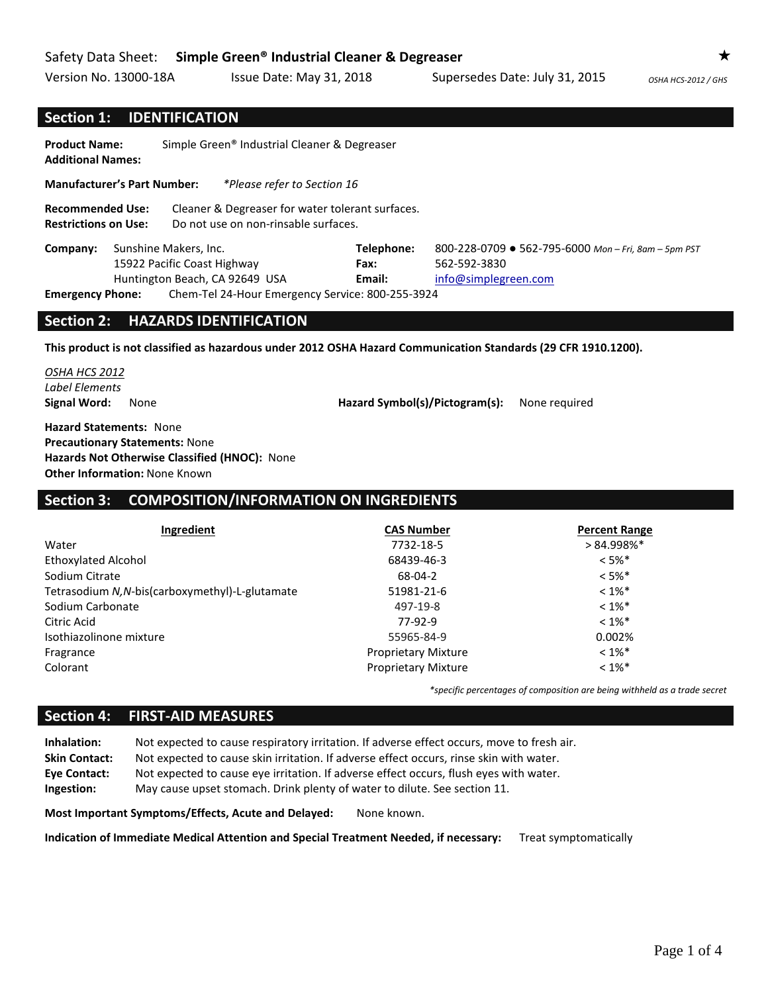Version No. 13000-18A Issue Date: May 31, 2018 Supersedes Date: July 31, 2015 0SHA HCS-2012 / GHS

### **Section 1: IDENTIFICATION**

| Simple Green <sup>®</sup> Industrial Cleaner & Degreaser<br><b>Product Name:</b><br><b>Additional Names:</b> |  |                                                                                          |                                                                                              |  |
|--------------------------------------------------------------------------------------------------------------|--|------------------------------------------------------------------------------------------|----------------------------------------------------------------------------------------------|--|
| <b>Manufacturer's Part Number:</b>                                                                           |  | *Please refer to Section 16                                                              |                                                                                              |  |
| <b>Recommended Use:</b><br><b>Restrictions on Use:</b>                                                       |  | Cleaner & Degreaser for water tolerant surfaces.<br>Do not use on non-rinsable surfaces. |                                                                                              |  |
| Sunshine Makers, Inc.<br>Company:<br>15922 Pacific Coast Highway<br>Huntington Beach, CA 92649 USA           |  | Telephone:<br>Fax:<br>Email:                                                             | 800-228-0709 ● 562-795-6000 Mon - Fri, 8am - 5pm PST<br>562-592-3830<br>info@simplegreen.com |  |
| Chem-Tel 24-Hour Emergency Service: 800-255-3924<br><b>Emergency Phone:</b>                                  |  |                                                                                          |                                                                                              |  |

#### **Section 2: HAZARDS IDENTIFICATION**

**This product is not classified as hazardous under 2012 OSHA Hazard Communication Standards (29 CFR 1910.1200).**

*OSHA HCS 2012 Label Elements*

**Signal Word:** None **Hazard Symbol(s)/Pictogram(s):** None required

**Hazard Statements:** None **Precautionary Statements:** None **Hazards Not Otherwise Classified (HNOC):** None **Other Information:** None Known

## **Section 3: COMPOSITION/INFORMATION ON INGREDIENTS**

| Ingredient                                      | <b>CAS Number</b>          | <b>Percent Range</b> |
|-------------------------------------------------|----------------------------|----------------------|
| Water                                           | 7732-18-5                  | $> 84.998\%$ *       |
| <b>Ethoxylated Alcohol</b>                      | 68439-46-3                 | $< 5\%$ *            |
| Sodium Citrate                                  | 68-04-2                    | $< 5\%$ *            |
| Tetrasodium N, N-bis(carboxymethyl)-L-glutamate | 51981-21-6                 | $< 1\%$ *            |
| Sodium Carbonate                                | 497-19-8                   | $< 1\%$ *            |
| Citric Acid                                     | 77-92-9                    | $< 1\%$ *            |
| Isothiazolinone mixture                         | 55965-84-9                 | 0.002%               |
| Fragrance                                       | <b>Proprietary Mixture</b> | $< 1\%$ <sup>*</sup> |
| Colorant                                        | <b>Proprietary Mixture</b> | $< 1\%$ *            |

*\*specific percentages of composition are being withheld as a trade secret*

#### **Section 4: FIRST-AID MEASURES**

**Inhalation:** Not expected to cause respiratory irritation. If adverse effect occurs, move to fresh air. **Skin Contact:** Not expected to cause skin irritation. If adverse effect occurs, rinse skin with water. **Eye Contact:** Not expected to cause eye irritation. If adverse effect occurs, flush eyes with water. **Ingestion:** May cause upset stomach. Drink plenty of water to dilute. See section 11.

**Most Important Symptoms/Effects, Acute and Delayed:** None known.

**Indication of Immediate Medical Attention and Special Treatment Needed, if necessary:** Treat symptomatically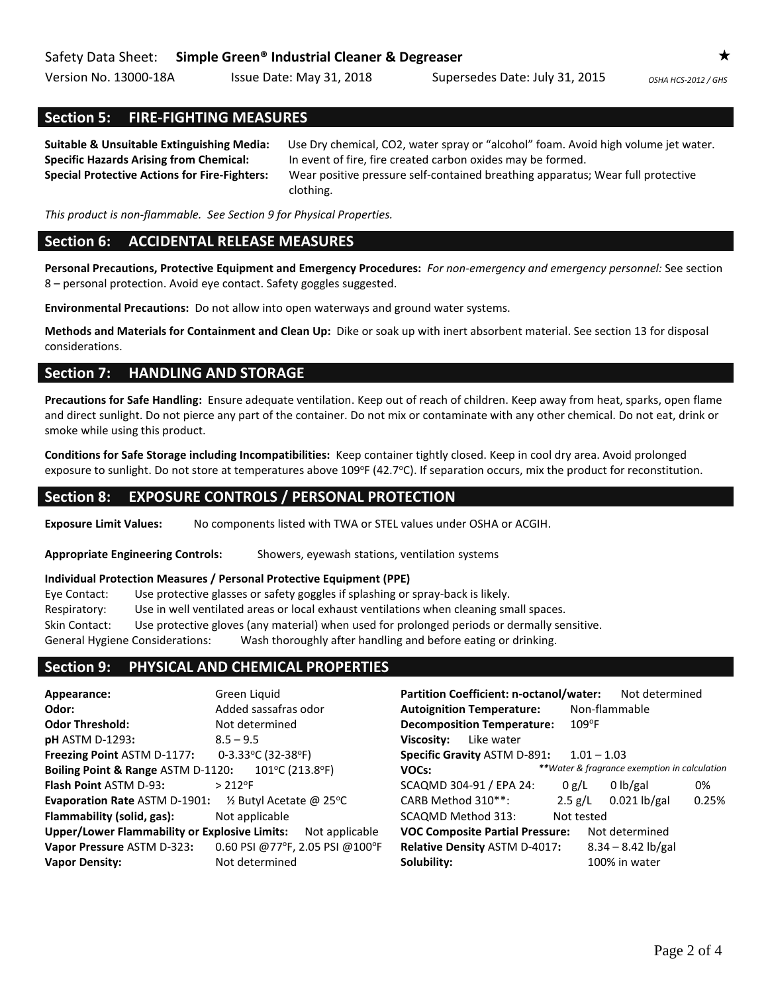Version No. 13000-18A Issue Date: May 31, 2018 Supersedes Date: July 31, 2015 *OSHA HCS-2012 / GHS* 

## **Section 5: FIRE-FIGHTING MEASURES**

**Suitable & Unsuitable Extinguishing Media:** Use Dry chemical, CO2, water spray or "alcohol" foam. Avoid high volume jet water. **Specific Hazards Arising from Chemical:** In event of fire, fire created carbon oxides may be formed. **Special Protective Actions for Fire-Fighters:** Wear positive pressure self-contained breathing apparatus; Wear full protective clothing.

*This product is non-flammable. See Section 9 for Physical Properties.*

### **Section 6: ACCIDENTAL RELEASE MEASURES**

**Personal Precautions, Protective Equipment and Emergency Procedures:** *For non-emergency and emergency personnel:* See section 8 – personal protection. Avoid eye contact. Safety goggles suggested.

**Environmental Precautions:** Do not allow into open waterways and ground water systems.

**Methods and Materials for Containment and Clean Up:** Dike or soak up with inert absorbent material. See section 13 for disposal considerations.

### **Section 7: HANDLING AND STORAGE**

**Precautions for Safe Handling:** Ensure adequate ventilation. Keep out of reach of children. Keep away from heat, sparks, open flame and direct sunlight. Do not pierce any part of the container. Do not mix or contaminate with any other chemical. Do not eat, drink or smoke while using this product.

**Conditions for Safe Storage including Incompatibilities:** Keep container tightly closed. Keep in cool dry area. Avoid prolonged exposure to sunlight. Do not store at temperatures above 109°F (42.7°C). If separation occurs, mix the product for reconstitution.

#### **Section 8: EXPOSURE CONTROLS / PERSONAL PROTECTION**

**Exposure Limit Values:** No components listed with TWA or STEL values under OSHA or ACGIH.

**Appropriate Engineering Controls:** Showers, eyewash stations, ventilation systems

#### **Individual Protection Measures / Personal Protective Equipment (PPE)**

Eye Contact: Use protective glasses or safety goggles if splashing or spray-back is likely. Respiratory: Use in well ventilated areas or local exhaust ventilations when cleaning small spaces. Skin Contact: Use protective gloves (any material) when used for prolonged periods or dermally sensitive.

General Hygiene Considerations: Wash thoroughly after handling and before eating or drinking.

### **Section 9: PHYSICAL AND CHEMICAL PROPERTIES**

| Appearance:                                          | Green Liquid                         | Partition Coefficient: n-octanol/water: |            | Not determined                               |       |
|------------------------------------------------------|--------------------------------------|-----------------------------------------|------------|----------------------------------------------|-------|
| Odor:                                                | Added sassafras odor                 | <b>Autoignition Temperature:</b>        |            | Non-flammable                                |       |
| <b>Odor Threshold:</b>                               | Not determined                       | <b>Decomposition Temperature:</b>       | $109$ °F   |                                              |       |
| <b>pH</b> ASTM D-1293:                               | $8.5 - 9.5$                          | Like water<br>Viscosity:                |            |                                              |       |
| Freezing Point ASTM D-1177:                          | 0-3.33°C (32-38°F)                   | <b>Specific Gravity ASTM D-891:</b>     |            | $1.01 - 1.03$                                |       |
| Boiling Point & Range ASTM D-1120:                   | $101^{\circ}$ C (213.8 $^{\circ}$ F) | VOCs:                                   |            | **Water & fragrance exemption in calculation |       |
| <b>Flash Point ASTM D-93:</b>                        | $> 212$ °F                           | SCAQMD 304-91 / EPA 24:                 | 0 g/L      | 0 lb/gal                                     | 0%    |
| <b>Evaporation Rate ASTM D-1901:</b>                 | $\frac{1}{2}$ Butyl Acetate @ 25°C   | CARB Method 310**:                      | 2.5 g/L    | $0.021$ lb/gal                               | 0.25% |
| Flammability (solid, gas):                           | Not applicable                       | SCAQMD Method 313:                      | Not tested |                                              |       |
| <b>Upper/Lower Flammability or Explosive Limits:</b> | Not applicable                       | <b>VOC Composite Partial Pressure:</b>  |            | Not determined                               |       |
| Vapor Pressure ASTM D-323:                           | 0.60 PSI @77°F, 2.05 PSI @100°F      | Relative Density ASTM D-4017:           |            | $8.34 - 8.42$ lb/gal                         |       |
| <b>Vapor Density:</b>                                | Not determined                       | Solubility:                             |            | 100% in water                                |       |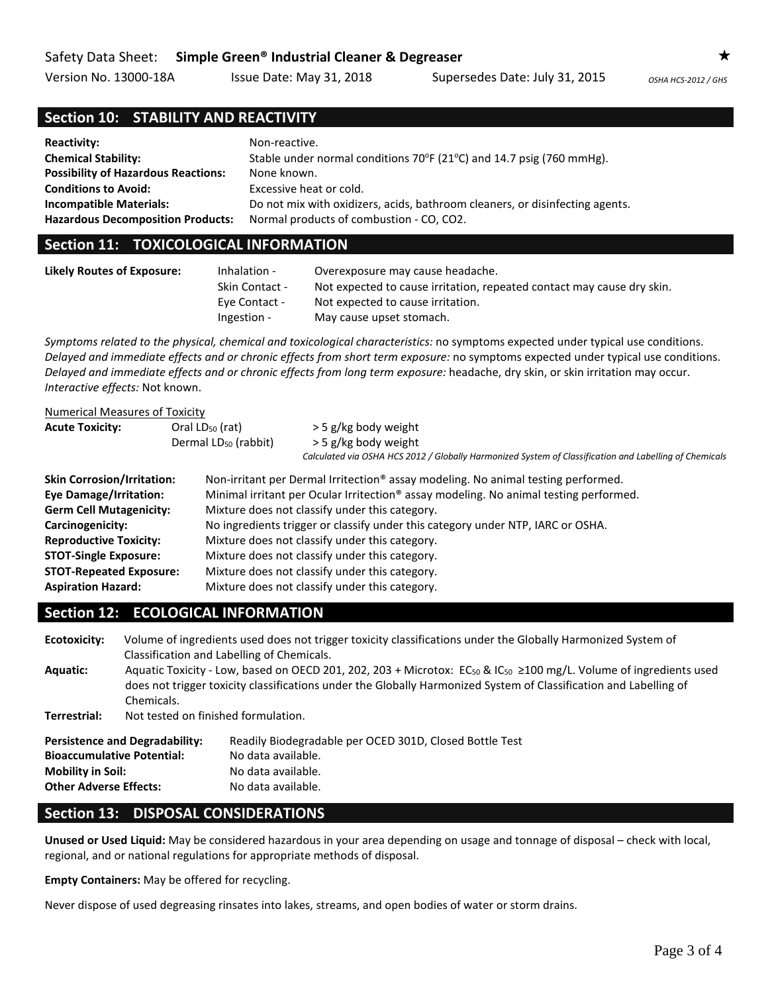Version No. 13000-18A Issue Date: May 31, 2018 Supersedes Date: July 31, 2015 0SHA HCS-2012 / GHS

# **Section 10: STABILITY AND REACTIVITY**

| <b>Reactivity:</b>                         | Non-reactive.                                                                       |
|--------------------------------------------|-------------------------------------------------------------------------------------|
| <b>Chemical Stability:</b>                 | Stable under normal conditions $70^{\circ}F(21^{\circ}C)$ and 14.7 psig (760 mmHg). |
| <b>Possibility of Hazardous Reactions:</b> | None known.                                                                         |
| <b>Conditions to Avoid:</b>                | Excessive heat or cold.                                                             |
| <b>Incompatible Materials:</b>             | Do not mix with oxidizers, acids, bathroom cleaners, or disinfecting agents.        |
| <b>Hazardous Decomposition Products:</b>   | Normal products of combustion - CO, CO2.                                            |

### **Section 11: TOXICOLOGICAL INFORMATION**

| <b>Likely Routes of Exposure:</b> | Inhalation -   | Overexposure may cause headache.                                       |
|-----------------------------------|----------------|------------------------------------------------------------------------|
|                                   | Skin Contact - | Not expected to cause irritation, repeated contact may cause dry skin. |
|                                   | Eye Contact -  | Not expected to cause irritation.                                      |
|                                   | Ingestion -    | May cause upset stomach.                                               |

*Symptoms related to the physical, chemical and toxicological characteristics:* no symptoms expected under typical use conditions. *Delayed and immediate effects and or chronic effects from short term exposure:* no symptoms expected under typical use conditions. *Delayed and immediate effects and or chronic effects from long term exposure:* headache, dry skin, or skin irritation may occur. *Interactive effects:* Not known.

| <b>Numerical Measures of Toxicity</b> |                                                          |                                                                                                                                                        |  |  |
|---------------------------------------|----------------------------------------------------------|--------------------------------------------------------------------------------------------------------------------------------------------------------|--|--|
| <b>Acute Toxicity:</b>                | Oral $LD_{50}$ (rat)<br>Dermal LD <sub>50</sub> (rabbit) | > 5 g/kg body weight<br>> 5 g/kg body weight<br>Calculated via OSHA HCS 2012 / Globally Harmonized System of Classification and Labelling of Chemicals |  |  |
| <b>Skin Corrosion/Irritation:</b>     |                                                          | Non-irritant per Dermal Irritection® assay modeling. No animal testing performed.                                                                      |  |  |
| <b>Eye Damage/Irritation:</b>         |                                                          | Minimal irritant per Ocular Irritection <sup>®</sup> assay modeling. No animal testing performed.                                                      |  |  |
| <b>Germ Cell Mutagenicity:</b>        |                                                          | Mixture does not classify under this category.                                                                                                         |  |  |
| Carcinogenicity:                      |                                                          | No ingredients trigger or classify under this category under NTP, IARC or OSHA.                                                                        |  |  |
| <b>Reproductive Toxicity:</b>         |                                                          | Mixture does not classify under this category.                                                                                                         |  |  |
| <b>STOT-Single Exposure:</b>          |                                                          | Mixture does not classify under this category.                                                                                                         |  |  |
| <b>STOT-Repeated Exposure:</b>        |                                                          | Mixture does not classify under this category.                                                                                                         |  |  |
| <b>Aspiration Hazard:</b>             |                                                          | Mixture does not classify under this category.                                                                                                         |  |  |

# **Section 12: ECOLOGICAL INFORMATION**

**Ecotoxicity:** Volume of ingredients used does not trigger toxicity classifications under the Globally Harmonized System of Classification and Labelling of Chemicals. Aquatic: Aquatic Toxicity - Low, based on OECD 201, 202, 203 + Microtox: EC<sub>50</sub> & IC<sub>50</sub> ≥100 mg/L. Volume of ingredients used does not trigger toxicity classifications under the Globally Harmonized System of Classification and Labelling of Chemicals. **Terrestrial:** Not tested on finished formulation.

| Readily Biodegradable per OCED 301D, Closed Bottle Test |
|---------------------------------------------------------|
|                                                         |
|                                                         |
|                                                         |
|                                                         |

# **Section 13: DISPOSAL CONSIDERATIONS**

**Unused or Used Liquid:** May be considered hazardous in your area depending on usage and tonnage of disposal – check with local, regional, and or national regulations for appropriate methods of disposal.

**Empty Containers:** May be offered for recycling.

Never dispose of used degreasing rinsates into lakes, streams, and open bodies of water or storm drains.